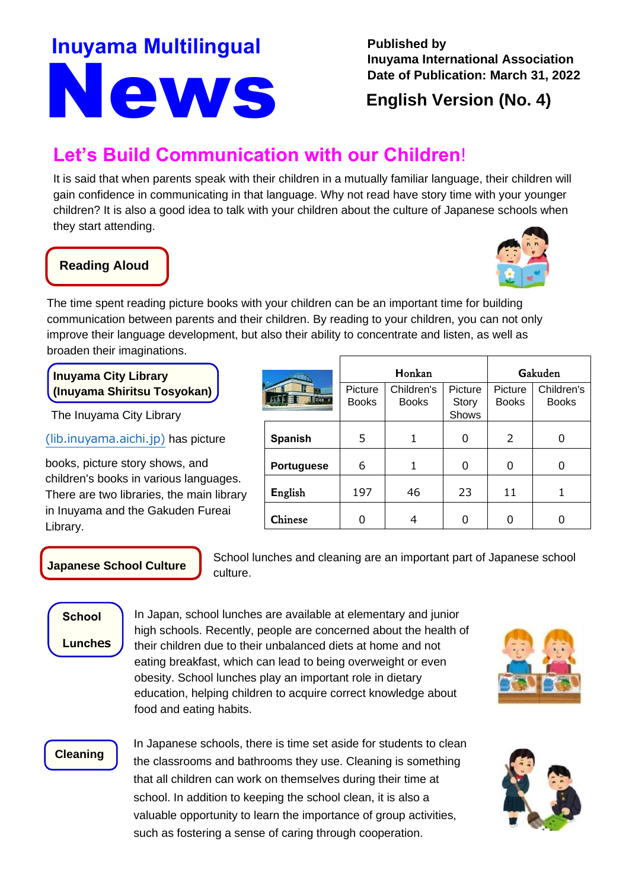# News **Inuyama Multilingual** Published by

**Inuyama International Association Date of Publication: March 31, 2022**

**H**onkan **G**akuden

**Picture** Books

Children's Books

**Picture Story** Shows

**English Version (No. 4)**

# **Let's Build Communication with our Children**!

It is said that when parents speak with their children in a mutually familiar language, their children will gain confidence in communicating in that language. Why not read have story time with your younger children? It is also a good idea to talk with your children about the culture of Japanese schools when they start attending.

### **Reading Aloud**

ĺ



The time spent reading picture books with your children can be an important time for building communication between parents and their children. By reading to your children, you can not only improve their language development, but also their ability to concentrate and listen, as well as broaden their imaginations.

**Inuyama City Library (Inuyama Shiritsu Tosyokan)**

[The Inuyama City Library](https://www.lib.inuyama.aichi.jp/)

[\(lib.inuyama.aichi.jp\)](https://www.lib.inuyama.aichi.jp/) has picture

books, picture story shows, and children's books in various languages. There are two libraries, the main library in Inuyama and the Gakuden Fureai Library.

#### **Japanese School Culture**

School lunches and cleaning are an important part of Japanese school

Children's Books

**Spanish** | 5 | 1 | 0 | 2 | 0

**Portuguese** 6 1 1 0 0 0

**English** | 197 | 46 | 23 | 11 | 1

**Chinese**  $\begin{array}{|c|c|c|c|c|c|} \hline \end{array}$  0 4 0 0 0 0 0 0

**Picture** Books

### **School**

**Lunches**

In Japan, school lunches are available at elementary and junior high schools. Recently, people are concerned about the health of their children due to their unbalanced diets at home and not eating breakfast, which can lead to being overweight or even obesity. School lunches play an important role in dietary education, helping children to acquire correct knowledge about food and eating habits.

culture.

#### **Cleaning**

In Japanese schools, there is time set aside for students to clean the classrooms and bathrooms they use. Cleaning is something that all children can work on themselves during their time at school. In addition to keeping the school clean, it is also a valuable opportunity to learn the importance of group activities, such as fostering a sense of caring through cooperation.



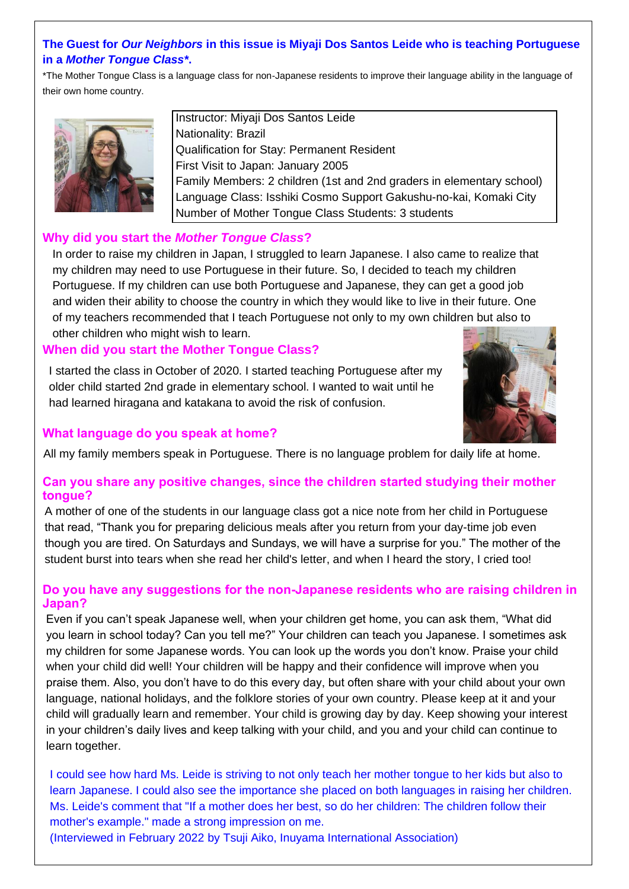#### **The Guest for** *Our Neighbors* **in this issue is Miyaji Dos Santos Leide who is teaching Portuguese in a** *Mother Tongue Class\****.**

\*The Mother Tongue Class is a language class for non-Japanese residents to improve their language ability in the language of their own home country.



Instructor: Miyaji Dos Santos Leide Nationality: Brazil Qualification for Stay: Permanent Resident First Visit to Japan: January 2005 Family Members: 2 children (1st and 2nd graders in elementary school) Language Class: Isshiki Cosmo Support Gakushu-no-kai, Komaki City Number of Mother Tongue Class Students: 3 students

#### **Why did you start the** *Mother Tongue Class***?**

In order to raise my children in Japan, I struggled to learn Japanese. I also came to realize that my children may need to use Portuguese in their future. So, I decided to teach my children Portuguese. If my children can use both Portuguese and Japanese, they can get a good job and widen their ability to choose the country in which they would like to live in their future. One of my teachers recommended that I teach Portuguese not only to my own children but also to other children who might wish to learn.

#### **When did you start the Mother Tongue Class?**

I started the class in October of 2020. I started teaching Portuguese after my older child started 2nd grade in elementary school. I wanted to wait until he had learned hiragana and katakana to avoid the risk of confusion.



#### **What language do you speak at home?**

All my family members speak in Portuguese. There is no language problem for daily life at home.

#### **Can you share any positive changes, since the children started studying their mother tongue?**

A mother of one of the students in our language class got a nice note from her child in Portuguese that read, "Thank you for preparing delicious meals after you return from your day-time job even though you are tired. On Saturdays and Sundays, we will have a surprise for you." The mother of the student burst into tears when she read her child's letter, and when I heard the story, I cried too!

#### **Do you have any suggestions for the non-Japanese residents who are raising children in Japan?**

Even if you can't speak Japanese well, when your children get home, you can ask them, "What did you learn in school today? Can you tell me?" Your children can teach you Japanese. I sometimes ask my children for some Japanese words. You can look up the words you don't know. Praise your child when your child did well! Your children will be happy and their confidence will improve when you praise them. Also, you don't have to do this every day, but often share with your child about your own language, national holidays, and the folklore stories of your own country. Please keep at it and your child will gradually learn and remember. Your child is growing day by day. Keep showing your interest in your children's daily lives and keep talking with your child, and you and your child can continue to learn together.

I could see how hard Ms. Leide is striving to not only teach her mother tongue to her kids but also to learn Japanese. I could also see the importance she placed on both languages in raising her children. Ms. Leide's comment that "If a mother does her best, so do her children: The children follow their mother's example." made a strong impression on me.

(Interviewed in February 2022 by Tsuji Aiko, Inuyama International Association)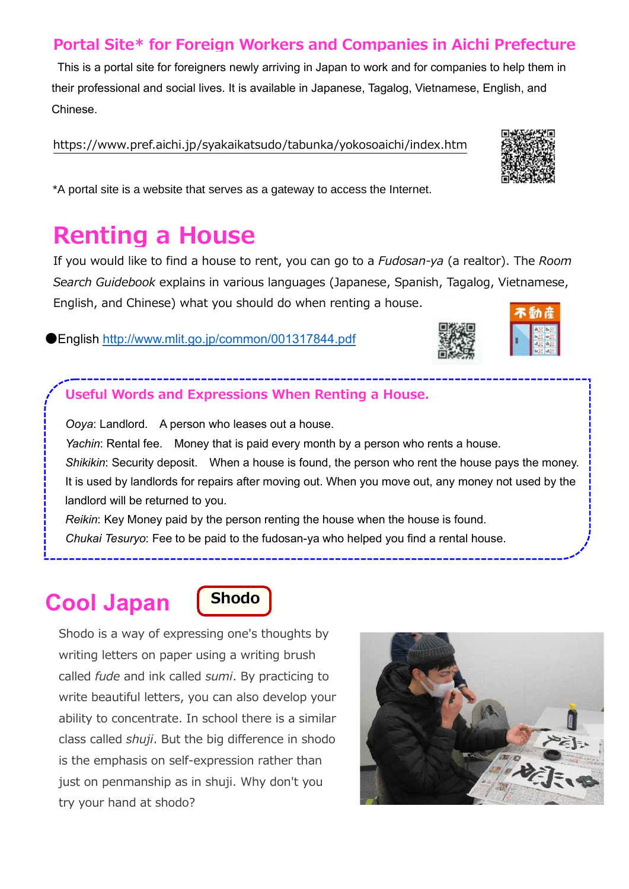### **Portal Site\* for Foreign Workers and Companies in Aichi Prefecture**

This is a portal site for foreigners newly arriving in Japan to work and for companies to help them in their professional and social lives. It is available in Japanese, Tagalog, Vietnamese, English, and Chinese.

[https://www.pref.aichi.jp/syakaikatsudo/tabunka/yokosoaichi/index.htm](https://www.pref.aichi.jp/syakaikatsudo/tabunka/yokosoaichi/index.html)



# **Renting a House**

If you would like to find a house to rent, you can go to a *Fudosan-ya* (a realtor). The *Room Search Guidebook* explains in various languages (Japanese, Spanish, Tagalog, Vietnamese, English, and Chinese) what you should do when renting a house.

●English<http://www.mlit.go.jp/common/001317844.pdf>  $\overline{\phantom{a}}$ 



*Ooya*: Landlord. A person who leases out a house.

*Yachin*: Rental fee. Money that is paid every month by a person who rents a house. *Shikikin*: Security deposit. When a house is found, the person who rent the house pays the money. It is used by landlords for repairs after moving out. When you move out, any money not used by the landlord will be returned to you.

*Reikin*: Key Money paid by the person renting the house when the house is found.

*Chukai Tesuryo*: Fee to be paid to the fudosan-ya who helped you find a rental house.

# **Cool Japan Shodo**



Shodo is a way of expressing one's thoughts by writing letters on paper using a writing brush called *fude* and ink called *sumi*. By practicing to write beautiful letters, you can also develop your ability to concentrate. In school there is a similar class called *shuji*. But the big difference in shodo is the emphasis on self-expression rather than just on penmanship as in shuji. Why don't you try your hand at shodo?